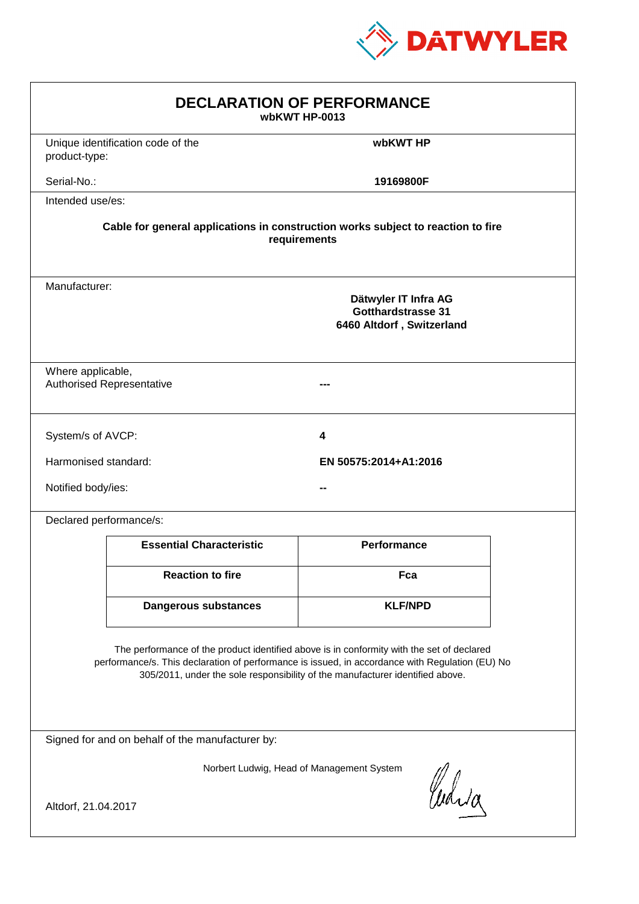

| <b>DECLARATION OF PERFORMANCE</b><br>wbKWT HP-0013                                                                                                                                                                                                                            |                                                                                          |                       |  |  |  |
|-------------------------------------------------------------------------------------------------------------------------------------------------------------------------------------------------------------------------------------------------------------------------------|------------------------------------------------------------------------------------------|-----------------------|--|--|--|
| product-type:                                                                                                                                                                                                                                                                 | Unique identification code of the                                                        | wbKWT HP              |  |  |  |
| Serial-No.:                                                                                                                                                                                                                                                                   |                                                                                          | 19169800F             |  |  |  |
| Intended use/es:                                                                                                                                                                                                                                                              |                                                                                          |                       |  |  |  |
| Cable for general applications in construction works subject to reaction to fire<br>requirements                                                                                                                                                                              |                                                                                          |                       |  |  |  |
|                                                                                                                                                                                                                                                                               | Manufacturer:<br>Dätwyler IT Infra AG<br>Gotthardstrasse 31<br>6460 Altdorf, Switzerland |                       |  |  |  |
|                                                                                                                                                                                                                                                                               | Where applicable,<br><b>Authorised Representative</b>                                    |                       |  |  |  |
| System/s of AVCP:                                                                                                                                                                                                                                                             |                                                                                          | 4                     |  |  |  |
| Harmonised standard:                                                                                                                                                                                                                                                          |                                                                                          | EN 50575:2014+A1:2016 |  |  |  |
| Notified body/ies:                                                                                                                                                                                                                                                            |                                                                                          |                       |  |  |  |
|                                                                                                                                                                                                                                                                               | Declared performance/s:                                                                  |                       |  |  |  |
|                                                                                                                                                                                                                                                                               | <b>Essential Characteristic</b>                                                          | <b>Performance</b>    |  |  |  |
|                                                                                                                                                                                                                                                                               | <b>Reaction to fire</b>                                                                  | Fca                   |  |  |  |
|                                                                                                                                                                                                                                                                               | <b>Dangerous substances</b>                                                              | <b>KLF/NPD</b>        |  |  |  |
| The performance of the product identified above is in conformity with the set of declared<br>performance/s. This declaration of performance is issued, in accordance with Regulation (EU) No<br>305/2011, under the sole responsibility of the manufacturer identified above. |                                                                                          |                       |  |  |  |
| Signed for and on behalf of the manufacturer by:                                                                                                                                                                                                                              |                                                                                          |                       |  |  |  |
| Norbert Ludwig, Head of Management System<br>Curia                                                                                                                                                                                                                            |                                                                                          |                       |  |  |  |
| Altdorf, 21.04.2017                                                                                                                                                                                                                                                           |                                                                                          |                       |  |  |  |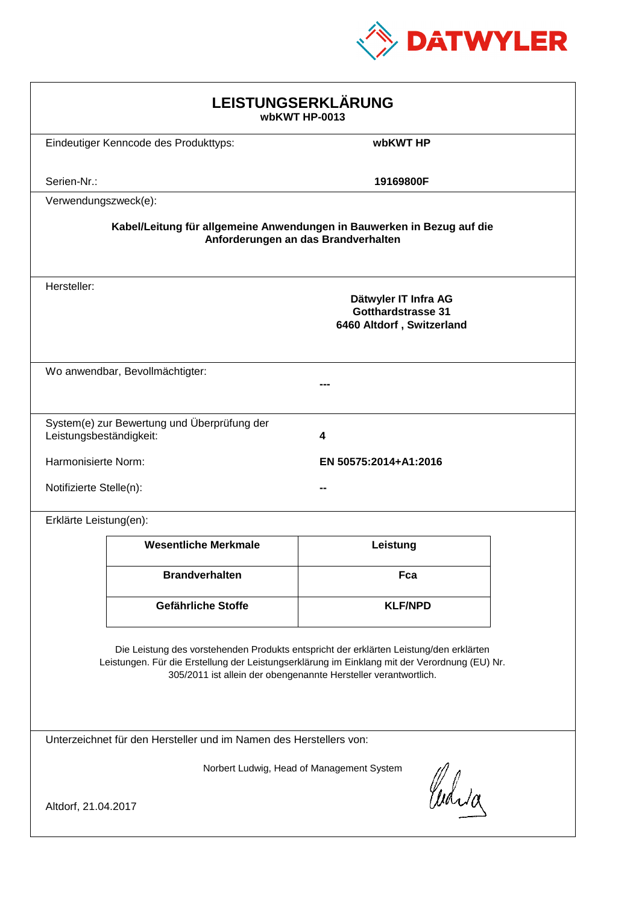

| LEISTUNGSERKLÄRUNG<br>wbKWT HP-0013                                                                                                                                                                                                                        |                                             |                                                                                |  |  |
|------------------------------------------------------------------------------------------------------------------------------------------------------------------------------------------------------------------------------------------------------------|---------------------------------------------|--------------------------------------------------------------------------------|--|--|
|                                                                                                                                                                                                                                                            | Eindeutiger Kenncode des Produkttyps:       | wbKWT HP                                                                       |  |  |
| Serien-Nr.:                                                                                                                                                                                                                                                |                                             | 19169800F                                                                      |  |  |
| Verwendungszweck(e):                                                                                                                                                                                                                                       |                                             |                                                                                |  |  |
| Kabel/Leitung für allgemeine Anwendungen in Bauwerken in Bezug auf die<br>Anforderungen an das Brandverhalten                                                                                                                                              |                                             |                                                                                |  |  |
| Hersteller:                                                                                                                                                                                                                                                |                                             | Dätwyler IT Infra AG<br><b>Gotthardstrasse 31</b><br>6460 Altdorf, Switzerland |  |  |
|                                                                                                                                                                                                                                                            | Wo anwendbar, Bevollmächtigter:             |                                                                                |  |  |
| Leistungsbeständigkeit:                                                                                                                                                                                                                                    | System(e) zur Bewertung und Überprüfung der | 4                                                                              |  |  |
| Harmonisierte Norm:                                                                                                                                                                                                                                        |                                             | EN 50575:2014+A1:2016                                                          |  |  |
| Notifizierte Stelle(n):                                                                                                                                                                                                                                    |                                             |                                                                                |  |  |
| Erklärte Leistung(en):                                                                                                                                                                                                                                     |                                             |                                                                                |  |  |
|                                                                                                                                                                                                                                                            | <b>Wesentliche Merkmale</b>                 | Leistung                                                                       |  |  |
|                                                                                                                                                                                                                                                            | <b>Brandverhalten</b>                       | Fca                                                                            |  |  |
|                                                                                                                                                                                                                                                            | Gefährliche Stoffe                          | <b>KLF/NPD</b>                                                                 |  |  |
| Die Leistung des vorstehenden Produkts entspricht der erklärten Leistung/den erklärten<br>Leistungen. Für die Erstellung der Leistungserklärung im Einklang mit der Verordnung (EU) Nr.<br>305/2011 ist allein der obengenannte Hersteller verantwortlich. |                                             |                                                                                |  |  |
| Unterzeichnet für den Hersteller und im Namen des Herstellers von:                                                                                                                                                                                         |                                             |                                                                                |  |  |
| Norbert Ludwig, Head of Management System<br>Curia<br>Altdorf, 21.04.2017                                                                                                                                                                                  |                                             |                                                                                |  |  |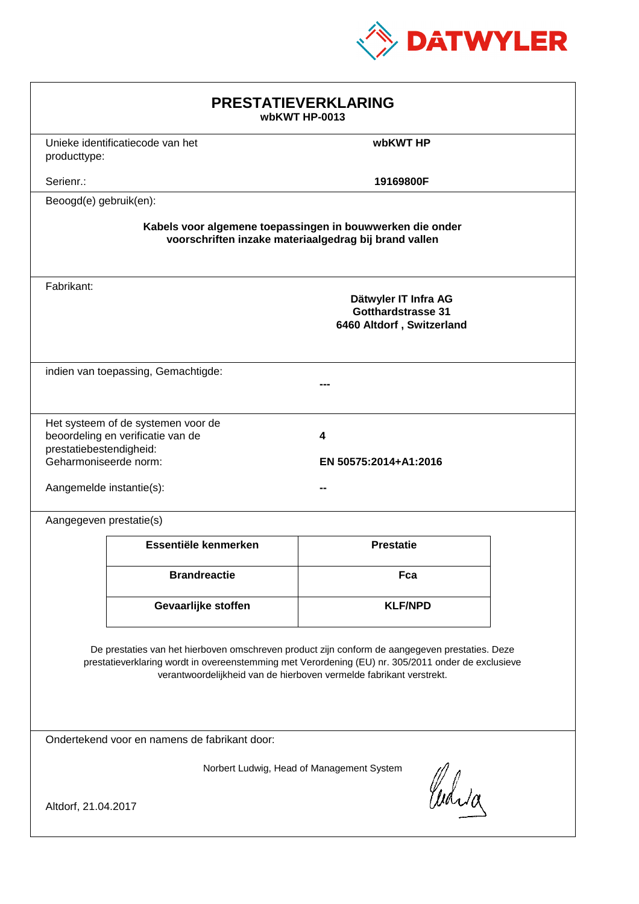

| <b>PRESTATIEVERKLARING</b><br>wbKWT HP-0013                                                                                                                                                                                                                                 |                                                                         |                                                                         |  |  |
|-----------------------------------------------------------------------------------------------------------------------------------------------------------------------------------------------------------------------------------------------------------------------------|-------------------------------------------------------------------------|-------------------------------------------------------------------------|--|--|
| producttype:                                                                                                                                                                                                                                                                | Unieke identificatiecode van het                                        | wbKWT HP                                                                |  |  |
| Serienr.:                                                                                                                                                                                                                                                                   |                                                                         | 19169800F                                                               |  |  |
| Beoogd(e) gebruik(en):                                                                                                                                                                                                                                                      |                                                                         |                                                                         |  |  |
| Kabels voor algemene toepassingen in bouwwerken die onder<br>voorschriften inzake materiaalgedrag bij brand vallen                                                                                                                                                          |                                                                         |                                                                         |  |  |
| Fabrikant:                                                                                                                                                                                                                                                                  |                                                                         | Dätwyler IT Infra AG<br>Gotthardstrasse 31<br>6460 Altdorf, Switzerland |  |  |
|                                                                                                                                                                                                                                                                             | indien van toepassing, Gemachtigde:                                     |                                                                         |  |  |
| prestatiebestendigheid:<br>Geharmoniseerde norm:<br>Aangemelde instantie(s):                                                                                                                                                                                                | Het systeem of de systemen voor de<br>beoordeling en verificatie van de | 4<br>EN 50575:2014+A1:2016                                              |  |  |
| Aangegeven prestatie(s)                                                                                                                                                                                                                                                     |                                                                         |                                                                         |  |  |
|                                                                                                                                                                                                                                                                             | Essentiële kenmerken                                                    | <b>Prestatie</b>                                                        |  |  |
|                                                                                                                                                                                                                                                                             | <b>Brandreactie</b>                                                     | Fca                                                                     |  |  |
|                                                                                                                                                                                                                                                                             | Gevaarlijke stoffen                                                     | <b>KLF/NPD</b>                                                          |  |  |
| De prestaties van het hierboven omschreven product zijn conform de aangegeven prestaties. Deze<br>prestatieverklaring wordt in overeenstemming met Verordening (EU) nr. 305/2011 onder de exclusieve<br>verantwoordelijkheid van de hierboven vermelde fabrikant verstrekt. |                                                                         |                                                                         |  |  |
| Ondertekend voor en namens de fabrikant door:                                                                                                                                                                                                                               |                                                                         |                                                                         |  |  |
| Norbert Ludwig, Head of Management System<br>Curia<br>Altdorf, 21.04.2017                                                                                                                                                                                                   |                                                                         |                                                                         |  |  |
|                                                                                                                                                                                                                                                                             |                                                                         |                                                                         |  |  |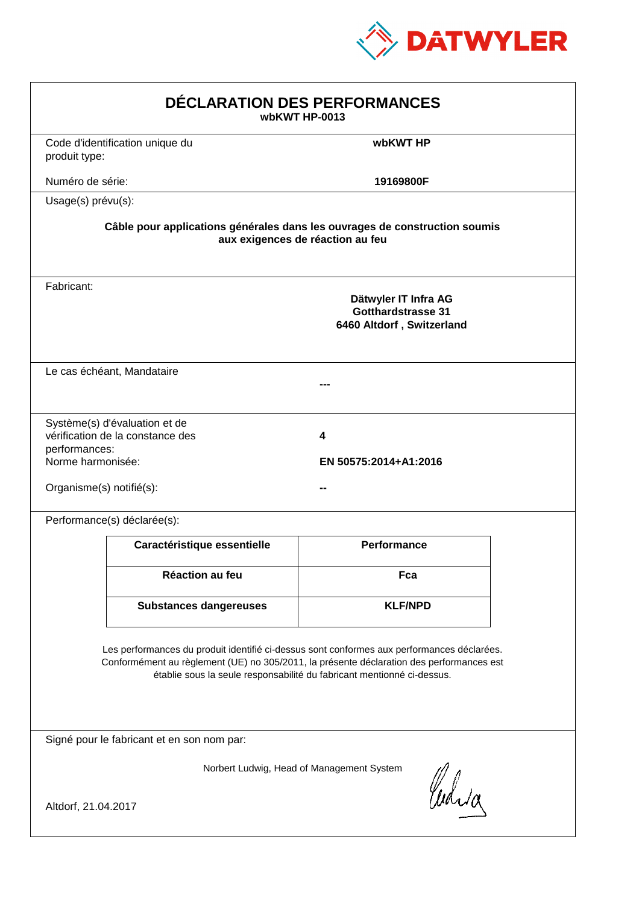

| DÉCLARATION DES PERFORMANCES<br>wbKWT HP-0013                                                                                                                                                                                                                    |                                                                                                                |                                                                                |  |  |  |
|------------------------------------------------------------------------------------------------------------------------------------------------------------------------------------------------------------------------------------------------------------------|----------------------------------------------------------------------------------------------------------------|--------------------------------------------------------------------------------|--|--|--|
| produit type:                                                                                                                                                                                                                                                    | Code d'identification unique du                                                                                | wbKWT HP                                                                       |  |  |  |
| Numéro de série:                                                                                                                                                                                                                                                 |                                                                                                                | 19169800F                                                                      |  |  |  |
| Usage(s) prévu(s):                                                                                                                                                                                                                                               |                                                                                                                |                                                                                |  |  |  |
|                                                                                                                                                                                                                                                                  | Câble pour applications générales dans les ouvrages de construction soumis<br>aux exigences de réaction au feu |                                                                                |  |  |  |
| Fabricant:                                                                                                                                                                                                                                                       |                                                                                                                | Dätwyler IT Infra AG<br><b>Gotthardstrasse 31</b><br>6460 Altdorf, Switzerland |  |  |  |
|                                                                                                                                                                                                                                                                  | Le cas échéant, Mandataire                                                                                     |                                                                                |  |  |  |
| performances:<br>Norme harmonisée:<br>Organisme(s) notifié(s):                                                                                                                                                                                                   | Système(s) d'évaluation et de<br>vérification de la constance des                                              | 4<br>EN 50575:2014+A1:2016                                                     |  |  |  |
|                                                                                                                                                                                                                                                                  | Performance(s) déclarée(s):                                                                                    |                                                                                |  |  |  |
|                                                                                                                                                                                                                                                                  | Caractéristique essentielle                                                                                    | <b>Performance</b>                                                             |  |  |  |
|                                                                                                                                                                                                                                                                  | Réaction au feu                                                                                                | Fca                                                                            |  |  |  |
|                                                                                                                                                                                                                                                                  | <b>Substances dangereuses</b>                                                                                  | <b>KLF/NPD</b>                                                                 |  |  |  |
| Les performances du produit identifié ci-dessus sont conformes aux performances déclarées.<br>Conformément au règlement (UE) no 305/2011, la présente déclaration des performances est<br>établie sous la seule responsabilité du fabricant mentionné ci-dessus. |                                                                                                                |                                                                                |  |  |  |
| Signé pour le fabricant et en son nom par:                                                                                                                                                                                                                       |                                                                                                                |                                                                                |  |  |  |
| Altdorf, 21.04.2017                                                                                                                                                                                                                                              |                                                                                                                | Norbert Ludwig, Head of Management System<br>Curia                             |  |  |  |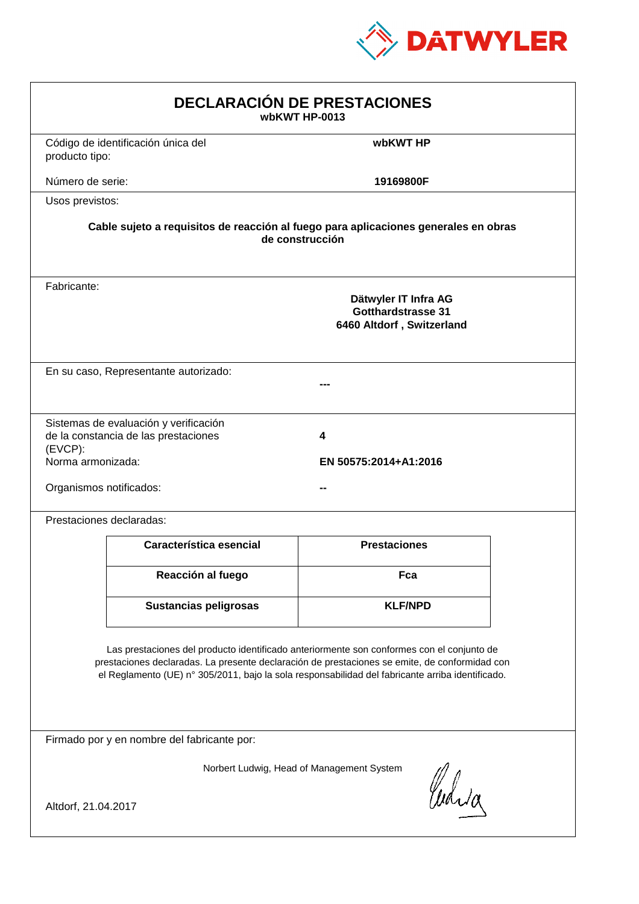

| <b>DECLARACIÓN DE PRESTACIONES</b><br>wbKWT HP-0013                                                                                                                                                                                                                                            |                                                                                                        |                            |  |  |  |
|------------------------------------------------------------------------------------------------------------------------------------------------------------------------------------------------------------------------------------------------------------------------------------------------|--------------------------------------------------------------------------------------------------------|----------------------------|--|--|--|
| producto tipo:                                                                                                                                                                                                                                                                                 | Código de identificación única del                                                                     | wbKWT HP                   |  |  |  |
| Número de serie:                                                                                                                                                                                                                                                                               |                                                                                                        | 19169800F                  |  |  |  |
| Usos previstos:                                                                                                                                                                                                                                                                                |                                                                                                        |                            |  |  |  |
|                                                                                                                                                                                                                                                                                                | Cable sujeto a requisitos de reacción al fuego para aplicaciones generales en obras<br>de construcción |                            |  |  |  |
| Fabricante:                                                                                                                                                                                                                                                                                    | Dätwyler IT Infra AG<br><b>Gotthardstrasse 31</b><br>6460 Altdorf, Switzerland                         |                            |  |  |  |
|                                                                                                                                                                                                                                                                                                | En su caso, Representante autorizado:                                                                  |                            |  |  |  |
| (EVCP):<br>Norma armonizada:<br>Organismos notificados:                                                                                                                                                                                                                                        | Sistemas de evaluación y verificación<br>de la constancia de las prestaciones                          | 4<br>EN 50575:2014+A1:2016 |  |  |  |
|                                                                                                                                                                                                                                                                                                | Prestaciones declaradas:                                                                               |                            |  |  |  |
|                                                                                                                                                                                                                                                                                                | Característica esencial                                                                                | <b>Prestaciones</b>        |  |  |  |
|                                                                                                                                                                                                                                                                                                | Reacción al fuego                                                                                      | Fca                        |  |  |  |
|                                                                                                                                                                                                                                                                                                | <b>Sustancias peligrosas</b>                                                                           | <b>KLF/NPD</b>             |  |  |  |
| Las prestaciones del producto identificado anteriormente son conformes con el conjunto de<br>prestaciones declaradas. La presente declaración de prestaciones se emite, de conformidad con<br>el Reglamento (UE) nº 305/2011, bajo la sola responsabilidad del fabricante arriba identificado. |                                                                                                        |                            |  |  |  |
|                                                                                                                                                                                                                                                                                                | Firmado por y en nombre del fabricante por:                                                            |                            |  |  |  |
| Norbert Ludwig, Head of Management System<br>Curia<br>Altdorf, 21.04.2017                                                                                                                                                                                                                      |                                                                                                        |                            |  |  |  |